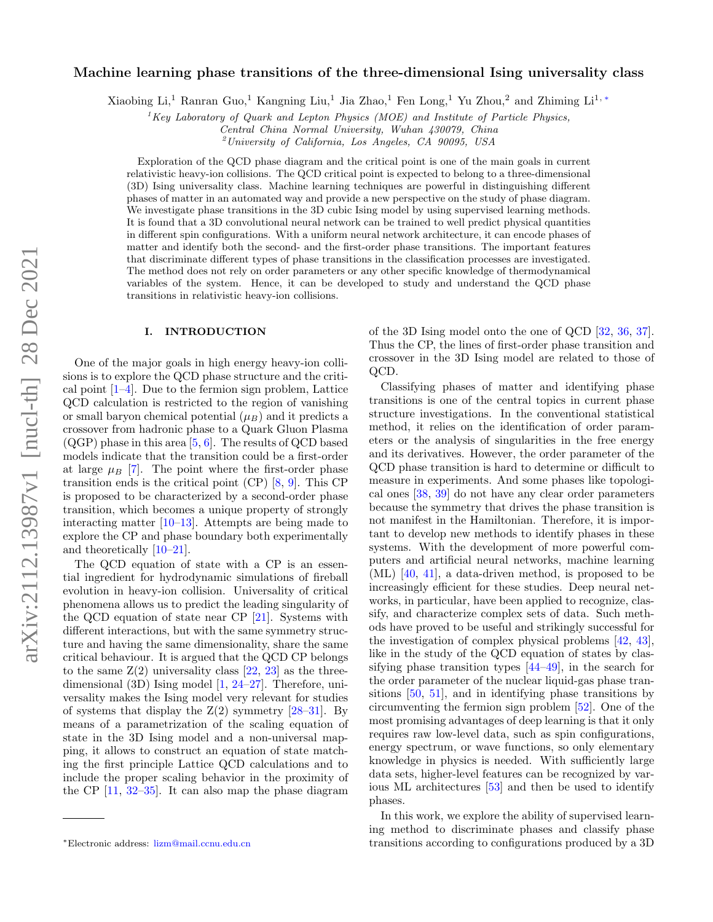# Machine learning phase transitions of the three-dimensional Ising universality class

Xiaobing Li,<sup>1</sup> Ranran Guo,<sup>1</sup> Kangning Liu,<sup>1</sup> Jia Zhao,<sup>1</sup> Fen Long,<sup>1</sup> Yu Zhou,<sup>2</sup> and Zhiming Li<sup>1,\*</sup>

<sup>1</sup>Key Laboratory of Quark and Lepton Physics (MOE) and Institute of Particle Physics,

Central China Normal University, Wuhan 430079, China

 $^{2}$ University of California, Los Angeles, CA 90095, USA

Exploration of the QCD phase diagram and the critical point is one of the main goals in current relativistic heavy-ion collisions. The QCD critical point is expected to belong to a three-dimensional (3D) Ising universality class. Machine learning techniques are powerful in distinguishing different phases of matter in an automated way and provide a new perspective on the study of phase diagram. We investigate phase transitions in the 3D cubic Ising model by using supervised learning methods. It is found that a 3D convolutional neural network can be trained to well predict physical quantities in different spin configurations. With a uniform neural network architecture, it can encode phases of matter and identify both the second- and the first-order phase transitions. The important features that discriminate different types of phase transitions in the classification processes are investigated. The method does not rely on order parameters or any other specific knowledge of thermodynamical variables of the system. Hence, it can be developed to study and understand the QCD phase transitions in relativistic heavy-ion collisions.

## I. INTRODUCTION

One of the major goals in high energy heavy-ion collisions is to explore the QCD phase structure and the critical point  $[1-4]$  $[1-4]$ . Due to the fermion sign problem, Lattice QCD calculation is restricted to the region of vanishing or small baryon chemical potential  $(\mu_B)$  and it predicts a crossover from hadronic phase to a Quark Gluon Plasma  $(QGP)$  phase in this area  $[5, 6]$  $[5, 6]$  $[5, 6]$ . The results of QCD based models indicate that the transition could be a first-order at large  $\mu_B$  [\[7\]](#page-5-4). The point where the first-order phase transition ends is the critical point (CP) [\[8,](#page-5-5) [9\]](#page-5-6). This CP is proposed to be characterized by a second-order phase transition, which becomes a unique property of strongly interacting matter  $[10-13]$  $[10-13]$ . Attempts are being made to explore the CP and phase boundary both experimentally and theoretically [\[10](#page-5-7)[–21\]](#page-5-9).

The QCD equation of state with a CP is an essential ingredient for hydrodynamic simulations of fireball evolution in heavy-ion collision. Universality of critical phenomena allows us to predict the leading singularity of the QCD equation of state near CP [\[21\]](#page-5-9). Systems with different interactions, but with the same symmetry structure and having the same dimensionality, share the same critical behaviour. It is argued that the QCD CP belongs to the same  $Z(2)$  universality class  $[22, 23]$  $[22, 23]$  $[22, 23]$  as the threedimensional (3D) Ising model [\[1,](#page-5-0) [24](#page-5-12)[–27\]](#page-5-13). Therefore, universality makes the Ising model very relevant for studies of systems that display the  $Z(2)$  symmetry  $[28-31]$  $[28-31]$ . By means of a parametrization of the scaling equation of state in the 3D Ising model and a non-universal mapping, it allows to construct an equation of state matching the first principle Lattice QCD calculations and to include the proper scaling behavior in the proximity of the CP [\[11,](#page-5-15) [32–](#page-6-1)[35\]](#page-6-2). It can also map the phase diagram

of the 3D Ising model onto the one of QCD [\[32,](#page-6-1) [36,](#page-6-3) [37\]](#page-6-4). Thus the CP, the lines of first-order phase transition and crossover in the 3D Ising model are related to those of QCD.

Classifying phases of matter and identifying phase transitions is one of the central topics in current phase structure investigations. In the conventional statistical method, it relies on the identification of order parameters or the analysis of singularities in the free energy and its derivatives. However, the order parameter of the QCD phase transition is hard to determine or difficult to measure in experiments. And some phases like topological ones [\[38,](#page-6-5) [39\]](#page-6-6) do not have any clear order parameters because the symmetry that drives the phase transition is not manifest in the Hamiltonian. Therefore, it is important to develop new methods to identify phases in these systems. With the development of more powerful computers and artificial neural networks, machine learning (ML) [\[40,](#page-6-7) [41\]](#page-6-8), a data-driven method, is proposed to be increasingly efficient for these studies. Deep neural networks, in particular, have been applied to recognize, classify, and characterize complex sets of data. Such methods have proved to be useful and strikingly successful for the investigation of complex physical problems [\[42,](#page-6-9) [43\]](#page-6-10), like in the study of the QCD equation of states by classifying phase transition types [\[44–](#page-6-11)[49\]](#page-6-12), in the search for the order parameter of the nuclear liquid-gas phase transitions [\[50,](#page-6-13) [51\]](#page-6-14), and in identifying phase transitions by circumventing the fermion sign problem [\[52\]](#page-6-15). One of the most promising advantages of deep learning is that it only requires raw low-level data, such as spin configurations, energy spectrum, or wave functions, so only elementary knowledge in physics is needed. With sufficiently large data sets, higher-level features can be recognized by various ML architectures [\[53\]](#page-6-16) and then be used to identify phases.

In this work, we explore the ability of supervised learning method to discriminate phases and classify phase transitions according to configurations produced by a 3D

<span id="page-0-0"></span><sup>∗</sup>Electronic address: [lizm@mail.ccnu.edu.cn](mailto:lizm@mail.ccnu.edu.cn)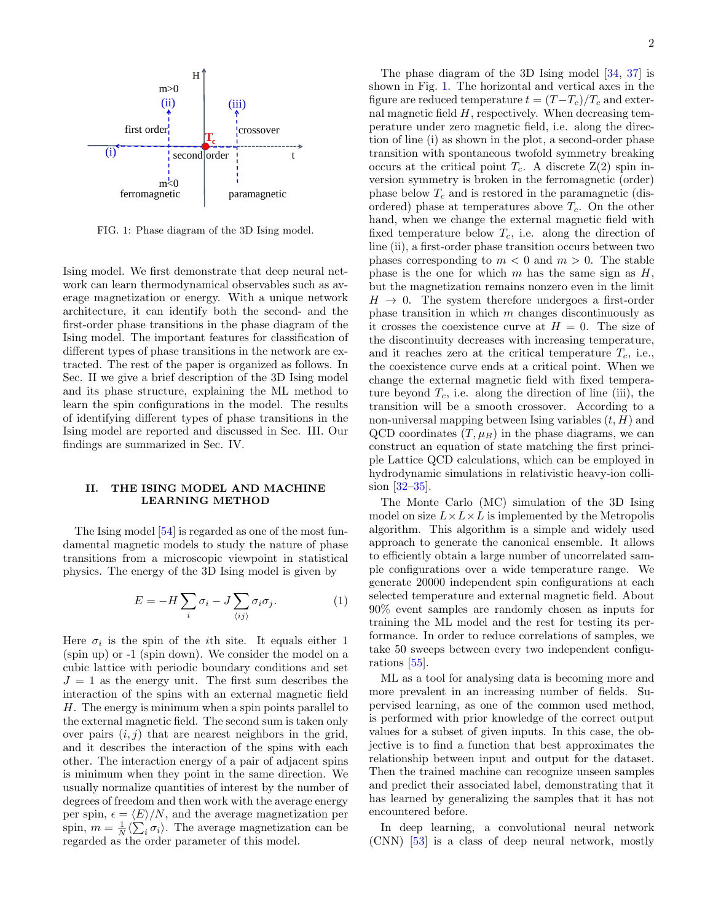<span id="page-1-0"></span>

FIG. 1: Phase diagram of the 3D Ising model.

Ising model. We first demonstrate that deep neural network can learn thermodynamical observables such as average magnetization or energy. With a unique network architecture, it can identify both the second- and the first-order phase transitions in the phase diagram of the Ising model. The important features for classification of different types of phase transitions in the network are extracted. The rest of the paper is organized as follows. In Sec. II we give a brief description of the 3D Ising model and its phase structure, explaining the ML method to learn the spin configurations in the model. The results of identifying different types of phase transitions in the Ising model are reported and discussed in Sec. III. Our findings are summarized in Sec. IV.

# II. THE ISING MODEL AND MACHINE LEARNING METHOD

The Ising model [\[54\]](#page-6-17) is regarded as one of the most fundamental magnetic models to study the nature of phase transitions from a microscopic viewpoint in statistical physics. The energy of the 3D Ising model is given by

$$
E = -H\sum_{i}\sigma_{i} - J\sum_{\langle ij\rangle}\sigma_{i}\sigma_{j}.
$$
 (1)

Here  $\sigma_i$  is the spin of the *i*th site. It equals either 1 (spin up) or -1 (spin down). We consider the model on a cubic lattice with periodic boundary conditions and set  $J = 1$  as the energy unit. The first sum describes the interaction of the spins with an external magnetic field H. The energy is minimum when a spin points parallel to the external magnetic field. The second sum is taken only over pairs  $(i, j)$  that are nearest neighbors in the grid, and it describes the interaction of the spins with each other. The interaction energy of a pair of adjacent spins is minimum when they point in the same direction. We usually normalize quantities of interest by the number of degrees of freedom and then work with the average energy per spin,  $\epsilon = \langle E \rangle/N$ , and the average magnetization per spin,  $m = \frac{1}{N} \langle \sum_i \sigma_i \rangle$ . The average magnetization can be regarded as the order parameter of this model.

The phase diagram of the 3D Ising model [\[34,](#page-6-18) [37\]](#page-6-4) is shown in Fig. [1.](#page-1-0) The horizontal and vertical axes in the figure are reduced temperature  $t = (T - T_c)/T_c$  and external magnetic field  $H$ , respectively. When decreasing temperature under zero magnetic field, i.e. along the direction of line (i) as shown in the plot, a second-order phase transition with spontaneous twofold symmetry breaking occurs at the critical point  $T_c$ . A discrete  $Z(2)$  spin inversion symmetry is broken in the ferromagnetic (order) phase below  $T_c$  and is restored in the paramagnetic (disordered) phase at temperatures above  $T_c$ . On the other hand, when we change the external magnetic field with fixed temperature below  $T_c$ , i.e. along the direction of line (ii), a first-order phase transition occurs between two phases corresponding to  $m < 0$  and  $m > 0$ . The stable phase is the one for which  $m$  has the same sign as  $H$ , but the magnetization remains nonzero even in the limit  $H \rightarrow 0$ . The system therefore undergoes a first-order phase transition in which m changes discontinuously as it crosses the coexistence curve at  $H = 0$ . The size of the discontinuity decreases with increasing temperature, and it reaches zero at the critical temperature  $T_c$ , i.e., the coexistence curve ends at a critical point. When we change the external magnetic field with fixed temperature beyond  $T_c$ , i.e. along the direction of line (iii), the transition will be a smooth crossover. According to a non-universal mapping between Ising variables  $(t, H)$  and QCD coordinates  $(T, \mu_B)$  in the phase diagrams, we can construct an equation of state matching the first principle Lattice QCD calculations, which can be employed in hydrodynamic simulations in relativistic heavy-ion collision [\[32](#page-6-1)[–35\]](#page-6-2).

The Monte Carlo (MC) simulation of the 3D Ising model on size  $L \times L \times L$  is implemented by the Metropolis algorithm. This algorithm is a simple and widely used approach to generate the canonical ensemble. It allows to efficiently obtain a large number of uncorrelated sample configurations over a wide temperature range. We generate 20000 independent spin configurations at each selected temperature and external magnetic field. About 90% event samples are randomly chosen as inputs for training the ML model and the rest for testing its performance. In order to reduce correlations of samples, we take 50 sweeps between every two independent configurations [\[55\]](#page-6-19).

ML as a tool for analysing data is becoming more and more prevalent in an increasing number of fields. Supervised learning, as one of the common used method, is performed with prior knowledge of the correct output values for a subset of given inputs. In this case, the objective is to find a function that best approximates the relationship between input and output for the dataset. Then the trained machine can recognize unseen samples and predict their associated label, demonstrating that it has learned by generalizing the samples that it has not encountered before.

In deep learning, a convolutional neural network (CNN) [\[53\]](#page-6-16) is a class of deep neural network, mostly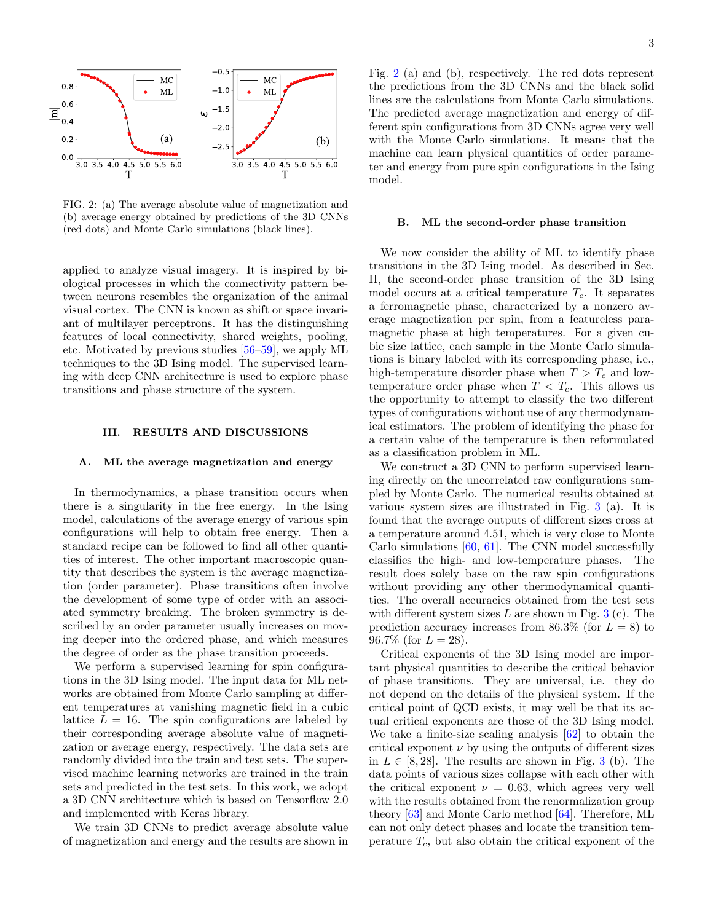<span id="page-2-0"></span>

FIG. 2: (a) The average absolute value of magnetization and (b) average energy obtained by predictions of the 3D CNNs (red dots) and Monte Carlo simulations (black lines).

applied to analyze visual imagery. It is inspired by biological processes in which the connectivity pattern between neurons resembles the organization of the animal visual cortex. The CNN is known as shift or space invariant of multilayer perceptrons. It has the distinguishing features of local connectivity, shared weights, pooling, etc. Motivated by previous studies [\[56–](#page-6-20)[59\]](#page-6-21), we apply ML techniques to the 3D Ising model. The supervised learning with deep CNN architecture is used to explore phase transitions and phase structure of the system.

### III. RESULTS AND DISCUSSIONS

#### A. ML the average magnetization and energy

In thermodynamics, a phase transition occurs when there is a singularity in the free energy. In the Ising model, calculations of the average energy of various spin configurations will help to obtain free energy. Then a standard recipe can be followed to find all other quantities of interest. The other important macroscopic quantity that describes the system is the average magnetization (order parameter). Phase transitions often involve the development of some type of order with an associated symmetry breaking. The broken symmetry is described by an order parameter usually increases on moving deeper into the ordered phase, and which measures the degree of order as the phase transition proceeds.

We perform a supervised learning for spin configurations in the 3D Ising model. The input data for ML networks are obtained from Monte Carlo sampling at different temperatures at vanishing magnetic field in a cubic lattice  $L = 16$ . The spin configurations are labeled by their corresponding average absolute value of magnetization or average energy, respectively. The data sets are randomly divided into the train and test sets. The supervised machine learning networks are trained in the train sets and predicted in the test sets. In this work, we adopt a 3D CNN architecture which is based on Tensorflow 2.0 and implemented with Keras library.

We train 3D CNNs to predict average absolute value of magnetization and energy and the results are shown in Fig. [2](#page-2-0) (a) and (b), respectively. The red dots represent the predictions from the 3D CNNs and the black solid lines are the calculations from Monte Carlo simulations. The predicted average magnetization and energy of different spin configurations from 3D CNNs agree very well with the Monte Carlo simulations. It means that the machine can learn physical quantities of order parameter and energy from pure spin configurations in the Ising model.

#### B. ML the second-order phase transition

We now consider the ability of ML to identify phase transitions in the 3D Ising model. As described in Sec. II, the second-order phase transition of the 3D Ising model occurs at a critical temperature  $T_c$ . It separates a ferromagnetic phase, characterized by a nonzero average magnetization per spin, from a featureless paramagnetic phase at high temperatures. For a given cubic size lattice, each sample in the Monte Carlo simulations is binary labeled with its corresponding phase, i.e., high-temperature disorder phase when  $T > T_c$  and lowtemperature order phase when  $T < T_c$ . This allows us the opportunity to attempt to classify the two different types of configurations without use of any thermodynamical estimators. The problem of identifying the phase for a certain value of the temperature is then reformulated as a classification problem in ML.

We construct a 3D CNN to perform supervised learning directly on the uncorrelated raw configurations sampled by Monte Carlo. The numerical results obtained at various system sizes are illustrated in Fig. [3](#page-3-0) (a). It is found that the average outputs of different sizes cross at a temperature around 4.51, which is very close to Monte Carlo simulations [\[60,](#page-6-22) [61\]](#page-6-23). The CNN model successfully classifies the high- and low-temperature phases. The result does solely base on the raw spin configurations without providing any other thermodynamical quantities. The overall accuracies obtained from the test sets with different system sizes  $L$  are shown in Fig. [3](#page-3-0) (c). The prediction accuracy increases from 86.3% (for  $L = 8$ ) to 96.7% (for  $L = 28$ ).

Critical exponents of the 3D Ising model are important physical quantities to describe the critical behavior of phase transitions. They are universal, i.e. they do not depend on the details of the physical system. If the critical point of QCD exists, it may well be that its actual critical exponents are those of the 3D Ising model. We take a finite-size scaling analysis [\[62\]](#page-6-24) to obtain the critical exponent  $\nu$  by using the outputs of different sizes in  $L \in [8, 28]$ . The results are shown in Fig. [3](#page-3-0) (b). The data points of various sizes collapse with each other with the critical exponent  $\nu = 0.63$ , which agrees very well with the results obtained from the renormalization group theory [\[63\]](#page-6-25) and Monte Carlo method [\[64\]](#page-6-26). Therefore, ML can not only detect phases and locate the transition temperature  $T_c$ , but also obtain the critical exponent of the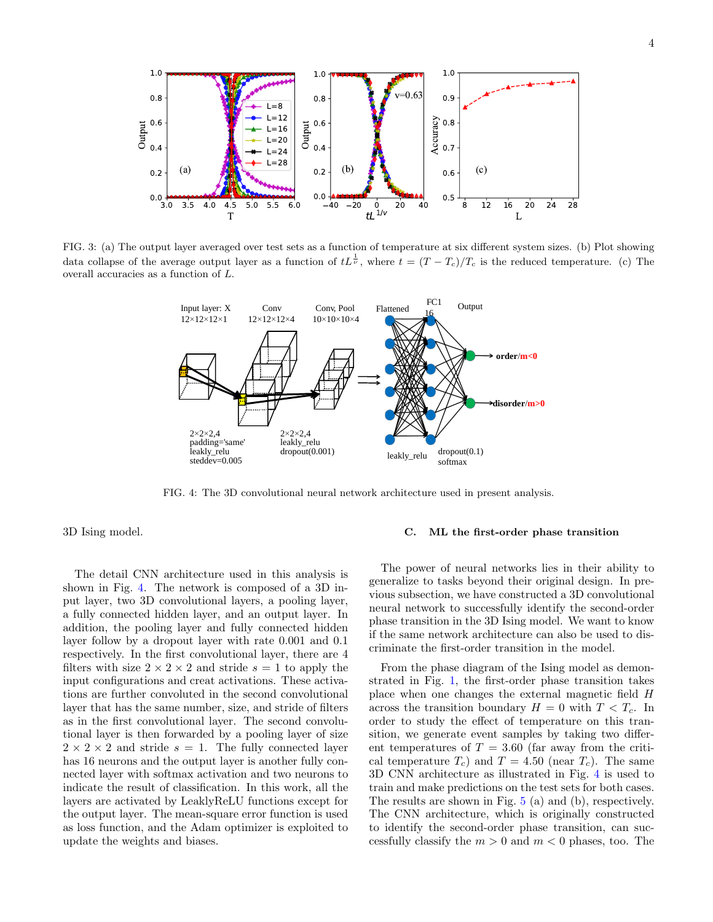<span id="page-3-0"></span>

<span id="page-3-1"></span>FIG. 3: (a) The output layer averaged over test sets as a function of temperature at six different system sizes. (b) Plot showing data collapse of the average output layer as a function of  $tL^{\frac{1}{\nu}}$ , where  $t = (T - T_c)/T_c$  is the reduced temperature. (c) The overall accuracies as a function of L.



FIG. 4: The 3D convolutional neural network architecture used in present analysis.

3D Ising model.

The detail CNN architecture used in this analysis is shown in Fig. [4.](#page-3-1) The network is composed of a 3D input layer, two 3D convolutional layers, a pooling layer, a fully connected hidden layer, and an output layer. In addition, the pooling layer and fully connected hidden layer follow by a dropout layer with rate 0.001 and 0.1 respectively. In the first convolutional layer, there are 4 filters with size  $2 \times 2 \times 2$  and stride  $s = 1$  to apply the input configurations and creat activations. These activations are further convoluted in the second convolutional layer that has the same number, size, and stride of filters as in the first convolutional layer. The second convolutional layer is then forwarded by a pooling layer of size  $2 \times 2 \times 2$  and stride  $s = 1$ . The fully connected layer has 16 neurons and the output layer is another fully connected layer with softmax activation and two neurons to indicate the result of classification. In this work, all the layers are activated by LeaklyReLU functions except for the output layer. The mean-square error function is used as loss function, and the Adam optimizer is exploited to update the weights and biases.

# C. ML the first-order phase transition

The power of neural networks lies in their ability to generalize to tasks beyond their original design. In previous subsection, we have constructed a 3D convolutional neural network to successfully identify the second-order phase transition in the 3D Ising model. We want to know if the same network architecture can also be used to discriminate the first-order transition in the model.

From the phase diagram of the Ising model as demonstrated in Fig. [1,](#page-1-0) the first-order phase transition takes place when one changes the external magnetic field H across the transition boundary  $H = 0$  with  $T < T_c$ . In order to study the effect of temperature on this transition, we generate event samples by taking two different temperatures of  $T = 3.60$  (far away from the critical temperature  $T_c$ ) and  $T = 4.50$  (near  $T_c$ ). The same 3D CNN architecture as illustrated in Fig. [4](#page-3-1) is used to train and make predictions on the test sets for both cases. The results are shown in Fig. [5](#page-4-0) (a) and (b), respectively. The CNN architecture, which is originally constructed to identify the second-order phase transition, can successfully classify the  $m > 0$  and  $m < 0$  phases, too. The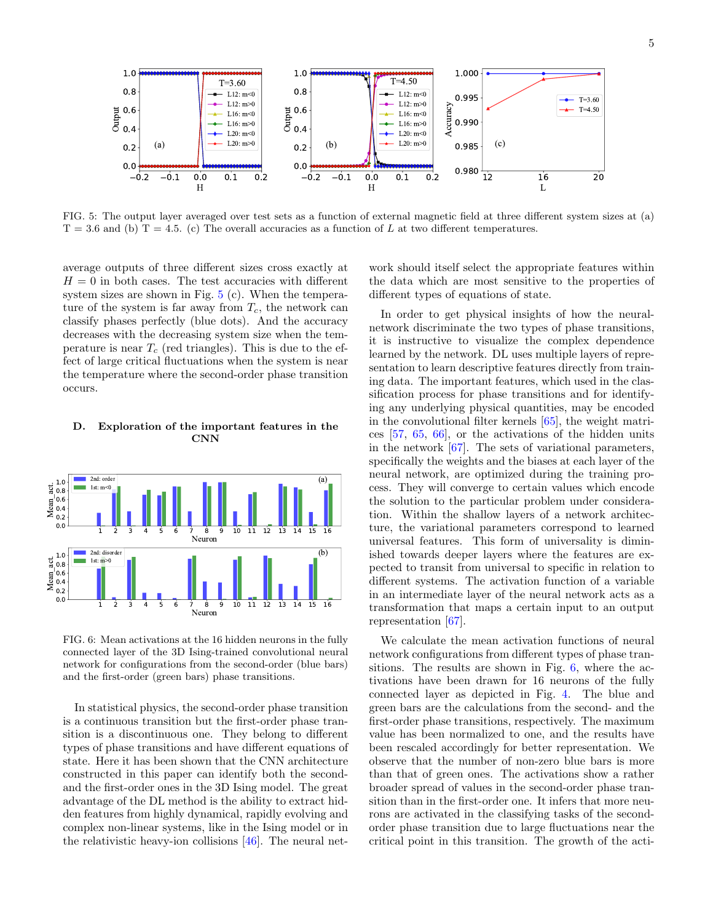<span id="page-4-0"></span>

FIG. 5: The output layer averaged over test sets as a function of external magnetic field at three different system sizes at (a)  $T = 3.6$  and (b)  $T = 4.5$ . (c) The overall accuracies as a function of L at two different temperatures.

average outputs of three different sizes cross exactly at  $H = 0$  in both cases. The test accuracies with different system sizes are shown in Fig. [5](#page-4-0) (c). When the temperature of the system is far away from  $T_c$ , the network can classify phases perfectly (blue dots). And the accuracy decreases with the decreasing system size when the temperature is near  $T_c$  (red triangles). This is due to the effect of large critical fluctuations when the system is near the temperature where the second-order phase transition occurs.

# D. Exploration of the important features in the CNN

<span id="page-4-1"></span>

FIG. 6: Mean activations at the 16 hidden neurons in the fully connected layer of the 3D Ising-trained convolutional neural network for configurations from the second-order (blue bars) and the first-order (green bars) phase transitions.

In statistical physics, the second-order phase transition is a continuous transition but the first-order phase transition is a discontinuous one. They belong to different types of phase transitions and have different equations of state. Here it has been shown that the CNN architecture constructed in this paper can identify both the secondand the first-order ones in the 3D Ising model. The great advantage of the DL method is the ability to extract hidden features from highly dynamical, rapidly evolving and complex non-linear systems, like in the Ising model or in the relativistic heavy-ion collisions [\[46\]](#page-6-27). The neural net-

work should itself select the appropriate features within the data which are most sensitive to the properties of different types of equations of state.

In order to get physical insights of how the neuralnetwork discriminate the two types of phase transitions, it is instructive to visualize the complex dependence learned by the network. DL uses multiple layers of representation to learn descriptive features directly from training data. The important features, which used in the classification process for phase transitions and for identifying any underlying physical quantities, may be encoded in the convolutional filter kernels [\[65\]](#page-6-28), the weight matrices [\[57,](#page-6-29) [65,](#page-6-28) [66\]](#page-6-30), or the activations of the hidden units in the network [\[67\]](#page-6-31). The sets of variational parameters, specifically the weights and the biases at each layer of the neural network, are optimized during the training process. They will converge to certain values which encode the solution to the particular problem under consideration. Within the shallow layers of a network architecture, the variational parameters correspond to learned universal features. This form of universality is diminished towards deeper layers where the features are expected to transit from universal to specific in relation to different systems. The activation function of a variable in an intermediate layer of the neural network acts as a transformation that maps a certain input to an output representation [\[67\]](#page-6-31).

We calculate the mean activation functions of neural network configurations from different types of phase transitions. The results are shown in Fig. [6,](#page-4-1) where the activations have been drawn for 16 neurons of the fully connected layer as depicted in Fig. [4.](#page-3-1) The blue and green bars are the calculations from the second- and the first-order phase transitions, respectively. The maximum value has been normalized to one, and the results have been rescaled accordingly for better representation. We observe that the number of non-zero blue bars is more than that of green ones. The activations show a rather broader spread of values in the second-order phase transition than in the first-order one. It infers that more neurons are activated in the classifying tasks of the secondorder phase transition due to large fluctuations near the critical point in this transition. The growth of the acti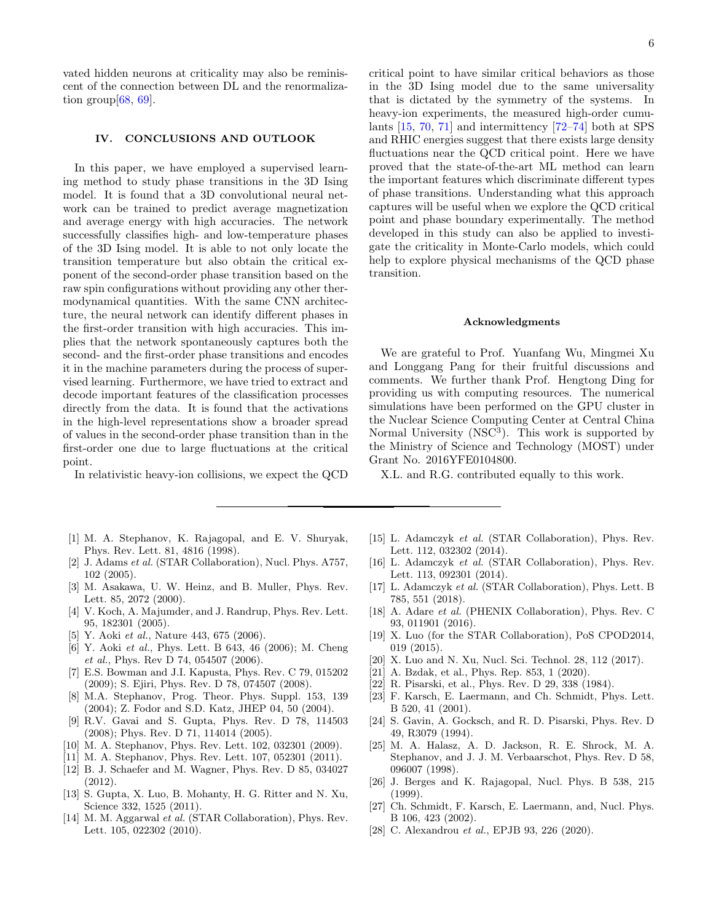vated hidden neurons at criticality may also be reminiscent of the connection between DL and the renormalization group  $68, 69$ .

### IV. CONCLUSIONS AND OUTLOOK

In this paper, we have employed a supervised learning method to study phase transitions in the 3D Ising model. It is found that a 3D convolutional neural network can be trained to predict average magnetization and average energy with high accuracies. The network successfully classifies high- and low-temperature phases of the 3D Ising model. It is able to not only locate the transition temperature but also obtain the critical exponent of the second-order phase transition based on the raw spin configurations without providing any other thermodynamical quantities. With the same CNN architecture, the neural network can identify different phases in the first-order transition with high accuracies. This implies that the network spontaneously captures both the second- and the first-order phase transitions and encodes it in the machine parameters during the process of supervised learning. Furthermore, we have tried to extract and decode important features of the classification processes directly from the data. It is found that the activations in the high-level representations show a broader spread of values in the second-order phase transition than in the first-order one due to large fluctuations at the critical point.

In relativistic heavy-ion collisions, we expect the QCD

- <span id="page-5-0"></span>[1] M. A. Stephanov, K. Rajagopal, and E. V. Shuryak, Phys. Rev. Lett. 81, 4816 (1998).
- [2] J. Adams et al. (STAR Collaboration), Nucl. Phys. A757, 102 (2005).
- [3] M. Asakawa, U. W. Heinz, and B. Muller, Phys. Rev. Lett. 85, 2072 (2000).
- <span id="page-5-1"></span>[4] V. Koch, A. Majumder, and J. Randrup, Phys. Rev. Lett. 95, 182301 (2005).
- <span id="page-5-2"></span>[5] Y. Aoki *et al.*, Nature 443, 675 (2006).
- <span id="page-5-3"></span>[6] Y. Aoki et al., Phys. Lett. B 643, 46 (2006); M. Cheng et al., Phys. Rev D 74, 054507 (2006).
- <span id="page-5-4"></span>[7] E.S. Bowman and J.I. Kapusta, Phys. Rev. C 79, 015202 (2009); S. Ejiri, Phys. Rev. D 78, 074507 (2008).
- <span id="page-5-5"></span>[8] M.A. Stephanov, Prog. Theor. Phys. Suppl. 153, 139 (2004); Z. Fodor and S.D. Katz, JHEP 04, 50 (2004).
- <span id="page-5-6"></span>[9] R.V. Gavai and S. Gupta, Phys. Rev. D 78, 114503 (2008); Phys. Rev. D 71, 114014 (2005).
- <span id="page-5-7"></span>[10] M. A. Stephanov, Phys. Rev. Lett. 102, 032301 (2009).
- <span id="page-5-15"></span>[11] M. A. Stephanov, Phys. Rev. Lett. 107, 052301 (2011).
- [12] B. J. Schaefer and M. Wagner, Phys. Rev. D 85, 034027 (2012).
- <span id="page-5-8"></span>[13] S. Gupta, X. Luo, B. Mohanty, H. G. Ritter and N. Xu, Science 332, 1525 (2011).
- [14] M. M. Aggarwal et al. (STAR Collaboration), Phys. Rev. Lett. 105, 022302 (2010).

critical point to have similar critical behaviors as those in the 3D Ising model due to the same universality that is dictated by the symmetry of the systems. In heavy-ion experiments, the measured high-order cumulants [\[15,](#page-5-16) [70,](#page-6-34) [71\]](#page-6-35) and intermittency [\[72–](#page-6-36)[74\]](#page-6-37) both at SPS and RHIC energies suggest that there exists large density fluctuations near the QCD critical point. Here we have proved that the state-of-the-art ML method can learn the important features which discriminate different types of phase transitions. Understanding what this approach captures will be useful when we explore the QCD critical point and phase boundary experimentally. The method developed in this study can also be applied to investigate the criticality in Monte-Carlo models, which could help to explore physical mechanisms of the QCD phase transition.

## Acknowledgments

We are grateful to Prof. Yuanfang Wu, Mingmei Xu and Longgang Pang for their fruitful discussions and comments. We further thank Prof. Hengtong Ding for providing us with computing resources. The numerical simulations have been performed on the GPU cluster in the Nuclear Science Computing Center at Central China Normal University (NSC<sup>3</sup>). This work is supported by the Ministry of Science and Technology (MOST) under Grant No. 2016YFE0104800.

X.L. and R.G. contributed equally to this work.

- <span id="page-5-16"></span>[15] L. Adamczyk et al. (STAR Collaboration), Phys. Rev. Lett. 112, 032302 (2014).
- [16] L. Adamczyk et al. (STAR Collaboration), Phys. Rev. Lett. 113, 092301 (2014).
- [17] L. Adamczyk et al. (STAR Collaboration), Phys. Lett. B 785, 551 (2018).
- [18] A. Adare *et al.* (PHENIX Collaboration), Phys. Rev. C 93, 011901 (2016).
- [19] X. Luo (for the STAR Collaboration), PoS CPOD2014, 019 (2015).
- [20] X. Luo and N. Xu, Nucl. Sci. Technol. 28, 112 (2017).
- <span id="page-5-9"></span>[21] A. Bzdak, et al., Phys. Rep. 853, 1 (2020).
- <span id="page-5-10"></span>[22] R. Pisarski, et al., Phys. Rev. D 29, 338 (1984).
- <span id="page-5-11"></span>[23] F. Karsch, E. Laermann, and Ch. Schmidt, Phys. Lett. B 520, 41 (2001).
- <span id="page-5-12"></span>[24] S. Gavin, A. Gocksch, and R. D. Pisarski, Phys. Rev. D 49, R3079 (1994).
- [25] M. A. Halasz, A. D. Jackson, R. E. Shrock, M. A. Stephanov, and J. J. M. Verbaarschot, Phys. Rev. D 58, 096007 (1998).
- [26] J. Berges and K. Rajagopal, Nucl. Phys. B 538, 215 (1999).
- <span id="page-5-13"></span>[27] Ch. Schmidt, F. Karsch, E. Laermann, and, Nucl. Phys. B 106, 423 (2002).
- <span id="page-5-14"></span>[28] C. Alexandrou et al., EPJB 93, 226 (2020).